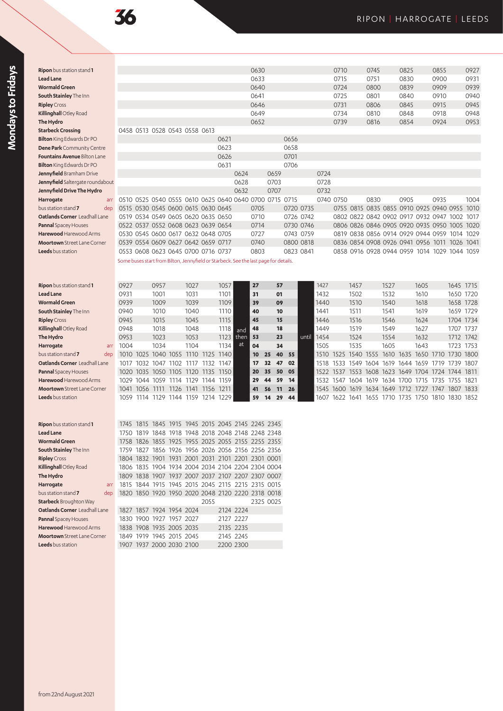| <b>Ripon</b> bus station stand <b>1</b> |                                                                                      |                          |           |      |                                    |      |                                                   | 0630 |                                                   |      |           |      | 0710                |      | 0745      |      | 0825      |                                                   | 0855 |           | 0927 |
|-----------------------------------------|--------------------------------------------------------------------------------------|--------------------------|-----------|------|------------------------------------|------|---------------------------------------------------|------|---------------------------------------------------|------|-----------|------|---------------------|------|-----------|------|-----------|---------------------------------------------------|------|-----------|------|
| <b>Lead Lane</b>                        |                                                                                      |                          |           |      |                                    |      |                                                   | 0633 |                                                   |      |           |      | 0715                |      | 0751      |      | 0830      |                                                   | 0900 |           | 0931 |
| <b>Wormald Green</b>                    |                                                                                      |                          |           |      |                                    |      |                                                   | 0640 |                                                   |      |           |      | 0724                |      | 0800      |      | 0839      |                                                   | 0909 |           | 0939 |
| South Stainley The Inn                  |                                                                                      |                          |           |      |                                    |      |                                                   | 0641 |                                                   |      |           |      | 0725                |      | 0801      |      | 0840      |                                                   | 0910 |           | 0940 |
| <b>Ripley</b> Cross                     |                                                                                      |                          |           |      |                                    |      |                                                   | 0646 |                                                   |      |           |      | 0731                |      | 0806      |      | 0845      |                                                   | 0915 |           | 0945 |
| Killinghall Otley Road                  |                                                                                      |                          |           |      |                                    |      |                                                   | 0649 |                                                   |      |           |      | 0734                |      | 0810      |      | 0848      |                                                   | 0918 |           | 0948 |
| The Hydro                               |                                                                                      |                          |           |      |                                    |      |                                                   | 0652 |                                                   |      |           |      | 0739                |      | 0816      |      | 0854      |                                                   | 0924 |           | 0953 |
| <b>Starbeck Crossing</b>                | 0458 0513 0528 0543 0558 0613                                                        |                          |           |      |                                    |      |                                                   |      |                                                   |      |           |      |                     |      |           |      |           |                                                   |      |           |      |
| Bilton King Edwards Dr PO               |                                                                                      |                          |           |      |                                    | 0621 |                                                   |      |                                                   | 0656 |           |      |                     |      |           |      |           |                                                   |      |           |      |
| <b>Dene Park</b> Community Centre       |                                                                                      |                          |           |      |                                    | 0623 |                                                   |      |                                                   | 0658 |           |      |                     |      |           |      |           |                                                   |      |           |      |
| Fountains Avenue Bilton Lane            |                                                                                      |                          |           |      |                                    | 0626 |                                                   |      |                                                   | 0701 |           |      |                     |      |           |      |           |                                                   |      |           |      |
| Bilton King Edwards Dr PO               |                                                                                      |                          |           |      |                                    | 0631 |                                                   |      |                                                   | 0706 |           |      |                     |      |           |      |           |                                                   |      |           |      |
| Jennyfield Bramham Drive                |                                                                                      |                          |           |      |                                    |      | 0624                                              |      | 0659                                              |      |           | 0724 |                     |      |           |      |           |                                                   |      |           |      |
| Jennyfield Saltergate roundabout        |                                                                                      |                          |           |      |                                    |      | 0628                                              |      | 0703                                              |      |           | 0728 |                     |      |           |      |           |                                                   |      |           |      |
| Jennyfield Drive The Hydro              |                                                                                      |                          |           |      |                                    |      | 0632                                              |      | 0707                                              |      |           | 0732 |                     |      |           |      |           |                                                   |      |           |      |
| Harrogate<br>arr                        | 0510 0525 0540 0555 0610 0625 0640 0640 0700 0715 0715                               |                          |           |      |                                    |      |                                                   |      |                                                   |      |           |      | 0740 0750           |      | 0830      |      | 0905      |                                                   | 0935 |           | 1004 |
| bus station stand 7<br>dep              | 0515 0530 0545 0600 0615 0630 0645                                                   |                          |           |      |                                    |      |                                                   | 0705 |                                                   |      | 0720 0735 |      |                     |      |           |      |           | 0755 0815 0835 0855 0910 0925 0940 0955 1010      |      |           |      |
| Oatlands Corner Leadhall Lane           |                                                                                      |                          |           |      | 0519 0534 0549 0605 0620 0635 0650 |      |                                                   | 0710 |                                                   |      | 0726 0742 |      |                     |      |           |      |           | 0802 0822 0842 0902 0917 0932 0947 1002 1017      |      |           |      |
| <b>Pannal</b> Spacey Houses             | 0522 0537 0552 0608 0623 0639 0654                                                   |                          |           |      |                                    |      |                                                   | 0714 |                                                   |      | 0730 0746 |      |                     |      |           |      |           | 0806 0826 0846 0905 0920 0935 0950 1005 1020      |      |           |      |
| Harewood Harewood Arms                  | 0530 0545 0600 0617 0632 0648 0705                                                   |                          |           |      |                                    |      |                                                   | 0727 |                                                   |      | 0743 0759 |      |                     |      |           |      |           | 0819 0838 0856 0914 0929 0944 0959 1014 1029      |      |           |      |
| <b>Moortown</b> Street Lane Corner      | 0539 0554 0609 0627 0642 0659 0717                                                   |                          |           |      |                                    |      |                                                   | 0740 |                                                   |      | 0800 0818 |      |                     |      |           |      |           | 0836 0854 0908 0926 0941 0956 1011                |      | 1026 1041 |      |
| <b>Leeds</b> bus station                | 0553 0608 0623 0645 0700 0716 0737                                                   |                          |           |      |                                    |      |                                                   | 0803 |                                                   |      | 0823 0841 |      |                     |      |           |      |           | 0858 0916 0928 0944 0959 1014 1029 1044 1059      |      |           |      |
|                                         | Some buses start from Bilton, Jennyfield or Starbeck. See the last page for details. |                          |           |      |                                    |      |                                                   |      |                                                   |      |           |      |                     |      |           |      |           |                                                   |      |           |      |
|                                         |                                                                                      |                          |           |      |                                    |      |                                                   |      |                                                   |      |           |      |                     |      |           |      |           |                                                   |      |           |      |
|                                         |                                                                                      |                          |           |      |                                    |      |                                                   |      |                                                   |      |           |      |                     |      |           |      |           |                                                   |      |           |      |
| Ripon bus station stand 1               | 0927                                                                                 |                          | 0957      | 1027 |                                    | 1057 |                                                   | 27   | 57                                                |      |           | 1427 |                     | 1457 |           | 1527 |           | 1605                                              |      | 1645 1715 |      |
| <b>Lead Lane</b>                        | 0931                                                                                 |                          | 1001      | 1031 |                                    | 1101 |                                                   | 31   | 01                                                |      |           | 1432 |                     | 1502 |           | 1532 |           | 1610                                              |      | 1650 1720 |      |
| <b>Wormald Green</b>                    | 0939                                                                                 |                          | 1009      | 1039 |                                    | 1109 |                                                   | 39   | 09                                                |      |           | 1440 |                     | 1510 |           | 1540 |           | 1618                                              |      | 1658 1728 |      |
| South Stainley The Inn                  | 0940                                                                                 |                          | 1010      | 1040 |                                    | 1110 |                                                   | 40   | 10                                                |      |           | 1441 |                     | 1511 |           | 1541 |           | 1619                                              |      | 1659 1729 |      |
| <b>Ripley</b> Cross                     | 0945                                                                                 |                          | 1015      | 1045 |                                    | 1115 |                                                   | 45   | 15                                                |      |           | 1446 |                     | 1516 |           | 1546 |           | 1624                                              |      | 1704 1734 |      |
| Killinghall Otley Road                  | 0948                                                                                 |                          | 1018      | 1048 |                                    | 1118 | and                                               | 48   | 18                                                |      |           | 1449 |                     | 1519 |           | 1549 |           | 1627                                              |      | 1707 1737 |      |
| The Hydro                               | 0953                                                                                 |                          | 1023      | 1053 |                                    | 1123 | then                                              | 53   | 23                                                |      | until     | 1454 |                     | 1524 |           | 1554 |           | 1632                                              |      | 1712 1742 |      |
| Harrogate<br>arr                        | 1004                                                                                 |                          | 1034      | 1104 |                                    | 1134 | at                                                | 04   | 34                                                |      |           | 1505 |                     | 1535 |           | 1605 |           | 1643                                              |      | 1723 1753 |      |
| bus station stand 7<br>dep              | 1010 1025 1040 1055 1110 1125 1140                                                   |                          |           |      |                                    |      |                                                   | 10   | 40<br>25                                          | 55   |           |      |                     |      |           |      |           | 1510 1525 1540 1555 1610 1635 1650 1710 1730 1800 |      |           |      |
| Oatlands Corner Leadhall Lane           | 1017                                                                                 | 1032                     | 1047 1102 |      | 1117 1132                          | 1147 |                                                   | 17   | 32<br>47                                          | 02   |           | 1518 | 1533 1549 1604 1619 |      |           |      |           | 1644 1659 1719 1739 1807                          |      |           |      |
| Pannal Spacey Houses                    | 1020                                                                                 |                          |           |      | 1035 1050 1105 1120 1135 1150      |      |                                                   | 20   | 35<br>50                                          | 05   |           | 1522 |                     |      |           |      |           | 1537 1553 1608 1623 1649 1704 1724 1744 1811      |      |           |      |
| Harewood Harewood Arms                  |                                                                                      |                          |           |      | 1029 1044 1059 1114 1129 1144 1159 |      |                                                   | 29   | 44<br>59                                          | 14   |           | 1532 |                     |      |           |      |           | 1547 1604 1619 1634 1700 1715 1735 1755 1821      |      |           |      |
| <b>Moortown</b> Street Lane Corner      | 1041                                                                                 | 1056 1111                |           |      | 1126 1141 1156 1211                |      |                                                   | 41   | 56<br>11                                          | 26   |           | 1545 | 1600                | 1619 | 1634 1649 |      | 1712 1727 |                                                   | 1747 | 1807 1833 |      |
| <b>Leeds</b> bus station                |                                                                                      |                          |           |      | 1059 1114 1129 1144 1159 1214 1229 |      |                                                   | 59   | 29<br>14                                          | 44   |           |      |                     |      |           |      |           | 1607 1622 1641 1655 1710 1735 1750 1810 1830 1852 |      |           |      |
|                                         |                                                                                      |                          |           |      |                                    |      |                                                   |      |                                                   |      |           |      |                     |      |           |      |           |                                                   |      |           |      |
|                                         |                                                                                      |                          |           |      |                                    |      |                                                   |      |                                                   |      |           |      |                     |      |           |      |           |                                                   |      |           |      |
| <b>Ripon</b> bus station stand <b>1</b> | 1745                                                                                 | 1815                     | 1845      |      |                                    |      | 1915 1945 2015 2045 2145 2245 2345                |      |                                                   |      |           |      |                     |      |           |      |           |                                                   |      |           |      |
| Lead Lane                               |                                                                                      |                          |           |      |                                    |      | 1750 1819 1848 1918 1948 2018 2048 2148 2248 2348 |      |                                                   |      |           |      |                     |      |           |      |           |                                                   |      |           |      |
| Wormald Green                           |                                                                                      |                          |           |      |                                    |      | 1758 1826 1855 1925 1955 2025 2055 2155 2255 2355 |      |                                                   |      |           |      |                     |      |           |      |           |                                                   |      |           |      |
| <b>South Stainley</b> The Inn           |                                                                                      |                          |           |      |                                    |      | 1759 1827 1856 1926 1956 2026 2056 2156 2256 2356 |      |                                                   |      |           |      |                     |      |           |      |           |                                                   |      |           |      |
| <b>Ripley</b> Cross                     |                                                                                      |                          |           |      |                                    |      |                                                   |      | 1804 1832 1901 1931 2001 2031 2101 2201 2301 0001 |      |           |      |                     |      |           |      |           |                                                   |      |           |      |
| Killinghall Otley Road                  |                                                                                      |                          |           |      |                                    |      |                                                   |      | 1806 1835 1904 1934 2004 2034 2104 2204 2304 0004 |      |           |      |                     |      |           |      |           |                                                   |      |           |      |
| The Hydro                               |                                                                                      |                          |           |      |                                    |      |                                                   |      | 1809 1838 1907 1937 2007 2037 2107 2207 2307 0007 |      |           |      |                     |      |           |      |           |                                                   |      |           |      |
| Harrogate<br>arr                        |                                                                                      |                          |           |      |                                    |      | 1815 1844 1915 1945 2015 2045 2115 2215 2315 0015 |      |                                                   |      |           |      |                     |      |           |      |           |                                                   |      |           |      |
| bus station stand 7<br>dep              |                                                                                      |                          |           |      |                                    |      |                                                   |      | 1820 1850 1920 1950 2020 2048 2120 2220 2318 0018 |      |           |      |                     |      |           |      |           |                                                   |      |           |      |
| Starbeck Broughton Way                  |                                                                                      |                          |           |      | 2055                               |      |                                                   |      | 2325 0025                                         |      |           |      |                     |      |           |      |           |                                                   |      |           |      |
| Oatlands Corner Leadhall Lane           |                                                                                      | 1827 1857 1924 1954 2024 |           |      |                                    |      | 2124 2224                                         |      |                                                   |      |           |      |                     |      |           |      |           |                                                   |      |           |      |
| Pannal Spacey Houses                    |                                                                                      | 1830 1900 1927 1957 2027 |           |      |                                    |      | 2127 2227                                         |      |                                                   |      |           |      |                     |      |           |      |           |                                                   |      |           |      |
| Harewood Harewood Arms                  |                                                                                      | 1838 1908 1935 2005 2035 |           |      |                                    |      | 2135 2235                                         |      |                                                   |      |           |      |                     |      |           |      |           |                                                   |      |           |      |
| <b>Moortown</b> Street Lane Corner      |                                                                                      | 1849 1919 1945 2015 2045 |           |      |                                    |      | 2145 2245                                         |      |                                                   |      |           |      |                     |      |           |      |           |                                                   |      |           |      |
| Leeds bus station                       | 1907 1937 2000 2030 2100                                                             |                          |           |      |                                    |      | 2200 2300                                         |      |                                                   |      |           |      |                     |      |           |      |           |                                                   |      |           |      |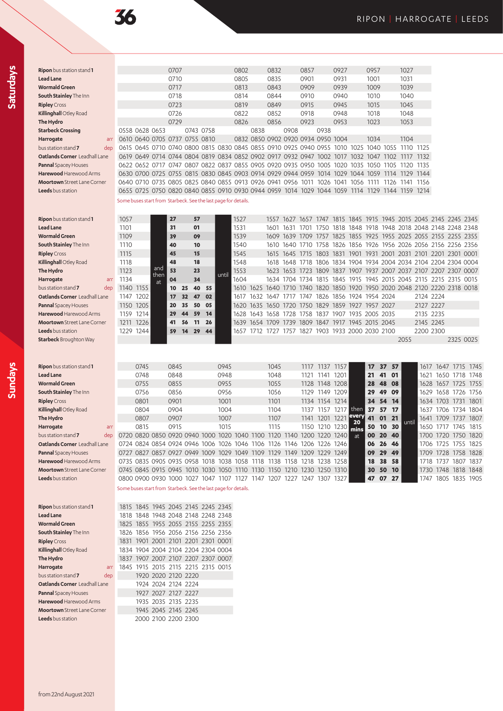| <b>Ripon</b> bus station stand <b>1</b> |                                                                                 |      |      | 0707 |                                                                       |           |       | 0802 |      | 0832 |                | 0857      |                                                   | 0927 |             | 0957      |            | 1027                                                                                                                  |           |                          |           |                |
|-----------------------------------------|---------------------------------------------------------------------------------|------|------|------|-----------------------------------------------------------------------|-----------|-------|------|------|------|----------------|-----------|---------------------------------------------------|------|-------------|-----------|------------|-----------------------------------------------------------------------------------------------------------------------|-----------|--------------------------|-----------|----------------|
| <b>Lead Lane</b>                        |                                                                                 |      |      | 0710 |                                                                       |           |       | 0805 |      | 0835 |                | 0901      |                                                   | 0931 |             | 1001      |            | 1031                                                                                                                  |           |                          |           |                |
| <b>Wormald Green</b>                    |                                                                                 |      |      | 0717 |                                                                       |           |       | 0813 |      | 0843 |                | 0909      |                                                   | 0939 |             | 1009      |            | 1039                                                                                                                  |           |                          |           |                |
| South Stainley The Inn                  |                                                                                 |      |      | 0718 |                                                                       |           |       | 0814 |      | 0844 |                | 0910      |                                                   | 0940 |             | 1010      |            | 1040                                                                                                                  |           |                          |           |                |
| <b>Ripley</b> Cross                     |                                                                                 |      |      | 0723 |                                                                       |           |       | 0819 |      | 0849 |                | 0915      |                                                   | 0945 |             | 1015      |            | 1045                                                                                                                  |           |                          |           |                |
| Killinghall Otley Road                  |                                                                                 |      |      | 0726 |                                                                       |           |       | 0822 |      | 0852 |                | 0918      |                                                   | 0948 |             | 1018      |            | 1048                                                                                                                  |           |                          |           |                |
| The Hydro                               |                                                                                 |      |      | 0729 |                                                                       |           |       | 0826 |      | 0856 |                | 0923      |                                                   | 0953 |             | 1023      |            | 1053                                                                                                                  |           |                          |           |                |
| <b>Starbeck Crossing</b>                | 0558 0628 0653                                                                  |      |      |      |                                                                       | 0743 0758 |       |      | 0838 |      | 0908           |           | 0938                                              |      |             |           |            |                                                                                                                       |           |                          |           |                |
| Harrogate<br>arr                        |                                                                                 |      |      |      | 0610 0640 0705 0737 0755 0810                                         |           |       |      |      |      |                |           | 0832 0850 0902 0920 0934 0950 1004                |      |             | 1034      |            | 1104                                                                                                                  |           |                          |           |                |
| bus station stand 7<br>dep              |                                                                                 |      |      |      |                                                                       |           |       |      |      |      |                |           |                                                   |      |             |           |            | 0615 0645 0710 0740 0800 0815 0830 0845 0855 0910 0925 0940 0955 1010 1025 1040 1055 1110 1125                        |           |                          |           |                |
| Oatlands Corner Leadhall Lane           |                                                                                 |      |      |      |                                                                       |           |       |      |      |      |                |           |                                                   |      |             |           |            | 0619 0649 0714 0744 0804 0819 0834 0852 0902 0917 0932 0947 1002 1017 1032 1047 1102 1117 1132                        |           |                          |           |                |
| <b>Pannal</b> Spacey Houses             |                                                                                 |      |      |      |                                                                       |           |       |      |      |      |                |           |                                                   |      |             |           |            | 0622 0652 0717 0747 0807 0822 0837 0855 0905 0920 0935 0950 1005 1020 1035 1050 1105 1120 1135                        |           |                          |           |                |
| Harewood Harewood Arms                  |                                                                                 |      |      |      | 0630 0700 0725 0755 0815 0830 0845 0903 0914 0929 0944 0959 1014 1029 |           |       |      |      |      |                |           |                                                   |      | 1044 1059   |           |            | 1114 1129                                                                                                             | 1144      |                          |           |                |
| <b>Moortown</b> Street Lane Corner      | 0640 0710 0735 0805 0825 0840 0855 0913 0926 0941 0956 1011 1026 1041 1056 1111 |      |      |      |                                                                       |           |       |      |      |      |                |           |                                                   |      |             |           |            | 1126 1141 1156                                                                                                        |           |                          |           |                |
| <b>Leeds</b> bus station                |                                                                                 |      |      |      |                                                                       |           |       |      |      |      |                |           |                                                   |      |             |           |            | 0655 0725 0750 0820 0840 0855 0910 0930 0944 0959 1014 1029 1044 1059 1114 1129 1144 1159 1214                        |           |                          |           |                |
|                                         | Some buses start from Starbeck. See the last page for details.                  |      |      |      |                                                                       |           |       |      |      |      |                |           |                                                   |      |             |           |            |                                                                                                                       |           |                          |           |                |
|                                         |                                                                                 |      |      |      |                                                                       |           |       |      |      |      |                |           |                                                   |      |             |           |            |                                                                                                                       |           |                          |           |                |
| <b>Ripon</b> bus station stand <b>1</b> | 1057                                                                            |      |      | 27   | 57                                                                    |           |       | 1527 |      | 1557 | 1627           | 1657 1747 |                                                   | 1815 | 1845        | 1915      | 1945       |                                                                                                                       |           | 2015 2045 2145 2245 2345 |           |                |
| <b>Lead Lane</b>                        |                                                                                 |      |      | 31   | 01                                                                    |           |       | 1531 |      |      |                |           |                                                   |      |             |           |            |                                                                                                                       |           |                          |           |                |
| <b>Wormald Green</b>                    | 1101                                                                            |      |      |      |                                                                       |           |       |      |      | 1601 | 1631           |           |                                                   |      |             |           |            | 1701 1750 1818 1848 1918 1948 2018 2048 2148 2248 2348                                                                |           |                          |           |                |
|                                         | 1109                                                                            |      |      | 39   | 09                                                                    |           |       | 1539 |      |      |                |           |                                                   |      |             |           |            | 1609 1639 1709 1757 1825 1855 1925 1955 2025 2055 2155 2255 2355<br>1758 1826 1856 1926 1956 2026 2056 2156 2256 2356 |           |                          |           |                |
| South Stainley The Inn                  | 1110                                                                            |      |      | 40   | 10                                                                    |           |       | 1540 |      |      | 1610 1640 1710 |           |                                                   |      |             |           |            |                                                                                                                       |           |                          |           |                |
| <b>Ripley</b> Cross                     | 1115                                                                            |      |      | 45   | 15                                                                    |           |       | 1545 |      | 1615 | 1645 1715      |           |                                                   |      |             |           |            | 1803 1831 1901 1931 2001 2031 2101 2201 2301 0001                                                                     |           |                          |           |                |
| Killinghall Otley Road                  | 1118                                                                            |      | and  | 48   | 18                                                                    |           |       | 1548 |      | 1618 |                |           |                                                   |      |             |           |            | 1648 1718 1806 1834 1904 1934 2004 2034 2104 2204 2304 0004                                                           |           |                          |           |                |
| The Hydro                               | 1123                                                                            |      | then | 53   | 23                                                                    |           | until | 1553 |      | 1623 |                |           |                                                   |      |             |           |            | 1653 1723 1809 1837 1907 1937 2007 2037 2107 2207 2307 0007                                                           |           |                          |           |                |
| Harrogate<br>arr                        | 1134                                                                            |      | at   | 04   | 34                                                                    |           |       | 1604 |      |      | 1634 1704 1734 |           | 1815 1845 1915                                    |      |             |           |            | 1945 2015 2045 2115                                                                                                   |           | 2215 2315 0015           |           |                |
| bus station stand 7<br>dep              | 1140                                                                            | 1155 |      | 10   | 25<br>40                                                              | 55        |       |      |      |      |                |           |                                                   |      |             |           |            | 1610 1625 1640 1710 1740 1820 1850 1920 1950 2020 2048 2120 2220 2318 0018                                            |           |                          |           |                |
| Oatlands Corner Leadhall Lane           | 1147                                                                            | 1202 |      | 17   | 32<br>47                                                              | 02        |       | 1617 |      |      |                |           | 1632 1647 1717 1747 1826 1856 1924 1954 2024      |      |             |           |            |                                                                                                                       | 2124 2224 |                          |           |                |
| <b>Pannal</b> Spacey Houses             | 1150                                                                            | 1205 |      | 20   | 35<br>50                                                              | 05        |       | 1620 | 1635 | 1650 | 1720 1750      |           | 1829                                              | 1859 | 1927        | 1957 2027 |            |                                                                                                                       | 2127 2227 |                          |           |                |
| Harewood Harewood Arms                  | 1159                                                                            | 1214 |      | 29   | 44<br>59                                                              | 14        |       | 1628 |      |      |                |           | 1643 1658 1728 1758 1837 1907 1935 2005 2035      |      |             |           |            |                                                                                                                       | 2135 2235 |                          |           |                |
| <b>Moortown</b> Street Lane Corner      | 1211                                                                            | 1226 |      | 41   | 56<br>11                                                              | 26        |       | 1639 |      |      |                |           | 1654 1709 1739 1809 1847 1917 1945 2015 2045      |      |             |           |            |                                                                                                                       | 2145 2245 |                          |           |                |
| Leeds bus station                       | 1229 1244                                                                       |      |      | 59   | 14<br>29                                                              | 44        |       |      |      |      |                |           | 1657 1712 1727 1757 1827 1903 1933 2000 2030 2100 |      |             |           |            |                                                                                                                       | 2200 2300 |                          |           |                |
| <b>Starbeck</b> Broughton Way           |                                                                                 |      |      |      |                                                                       |           |       |      |      |      |                |           |                                                   |      |             |           |            | 2055                                                                                                                  |           |                          | 2325 0025 |                |
|                                         |                                                                                 |      |      |      |                                                                       |           |       |      |      |      |                |           |                                                   |      |             |           |            |                                                                                                                       |           |                          |           |                |
|                                         |                                                                                 |      |      |      |                                                                       |           |       |      |      |      |                |           |                                                   |      |             |           |            |                                                                                                                       |           |                          |           |                |
| <b>Ripon</b> bus station stand <b>1</b> |                                                                                 | 0745 |      | 0845 |                                                                       |           | 0945  |      |      | 1045 |                | 1117      | 1137                                              | 1157 |             | 17        | 37<br>57   |                                                                                                                       | 1617      |                          | 1647 1715 | 1745           |
| <b>Lead Lane</b>                        |                                                                                 | 0748 |      | 0848 |                                                                       |           | 0948  |      |      | 1048 |                | 1121      | 1141                                              | 1201 |             | 21        | 01<br>41   |                                                                                                                       | 1621      |                          | 1650 1718 | 1748           |
| <b>Wormald Green</b>                    |                                                                                 | 0755 |      | 0855 |                                                                       |           | 0955  |      |      | 1055 |                | 1128      | 1148 1208                                         |      |             | 28        | 48<br>08   |                                                                                                                       | 1628      |                          | 1657 1725 | 1755           |
| South Stainley The Inn                  |                                                                                 | 0756 |      | 0856 |                                                                       |           | 0956  |      |      | 1056 |                |           | 1129 1149 1209                                    |      |             | 29        | 49<br>09   |                                                                                                                       | 1629      |                          | 1658 1726 | 1756           |
| <b>Ripley</b> Cross                     |                                                                                 | 0801 |      | 0901 |                                                                       |           | 1001  |      |      | 1101 |                |           | 1134 1154 1214                                    |      |             | 34        | 54<br>- 14 |                                                                                                                       | 1634      |                          |           | 1703 1731 1801 |
| Killinghall Otley Road                  |                                                                                 | 0804 |      | 0904 |                                                                       |           | 1004  |      |      | 1104 |                |           | 1137 1157 1217                                    |      | then        | 37        | 57<br>- 17 |                                                                                                                       | 1637      |                          |           | 1706 1734 1804 |
| The Hydro                               |                                                                                 | 0807 |      | 0907 |                                                                       |           | 1007  |      |      | 1107 |                |           | 1141 1201 1221                                    |      | every<br>20 | 41        | 21<br>01   | until                                                                                                                 | 1641      |                          |           | 1709 1737 1807 |
| Harrogate<br>arr                        |                                                                                 | 0815 |      | 0915 |                                                                       |           | 1015  |      |      | 1115 |                |           | 1150 1210                                         | 1230 | mins        | 50        | 30<br>10   |                                                                                                                       | 1650      | 1717                     | 1745      | 1815           |
| bus station stand 7<br>dep              |                                                                                 |      |      |      | 0720 0820 0850 0920 0940 1000 1020 1040 1100 1120 1140 1200 1220 1240 |           |       |      |      |      |                |           |                                                   |      | at          |           | 00 20 40   |                                                                                                                       |           | 1700 1720 1750 1820      |           |                |
| <b>Oatlands Corner</b> Leadhall Lane    |                                                                                 |      |      |      | 0724 0824 0854 0924 0946 1006 1026 1046 1106 1126 1146 1206 1226 1246 |           |       |      |      |      |                |           |                                                   |      |             | 06        | 26 46      |                                                                                                                       |           | 1706 1725 1755 1825      |           |                |
| <b>Pannal</b> Spacey Houses             |                                                                                 |      |      |      | 0727 0827 0857 0927 0949 1009 1029 1049 1109 1129 1149 1209 1229 1249 |           |       |      |      |      |                |           |                                                   |      |             |           | 09 29 49   |                                                                                                                       |           | 1709 1728 1758 1828      |           |                |
| Harewood Harewood Arms                  |                                                                                 |      |      |      | 0735 0835 0905 0935 0958 1018 1038 1058 1118 1138 1158 1218 1238 1258 |           |       |      |      |      |                |           |                                                   |      |             | 18        | 38 58      |                                                                                                                       |           | 1718 1737 1807 1837      |           |                |
| <b>Moortown</b> Street Lane Corner      |                                                                                 |      |      |      | 0745 0845 0915 0945 1010 1030 1050 1110 1130 1150 1210 1230 1250 1310 |           |       |      |      |      |                |           |                                                   |      |             | 30        | 50 10      |                                                                                                                       |           | 1730 1748 1818 1848      |           |                |
| Leeds bus station                       | 0800 0900 0930 1000 1027 1047 1107 1127 1147 1207 1227 1247 1307 1327           |      |      |      |                                                                       |           |       |      |      |      |                |           |                                                   |      |             |           | 47 07 27   |                                                                                                                       |           | 1747 1805 1835 1905      |           |                |
|                                         | Some buses start from Starbeck. See the last page for details.                  |      |      |      |                                                                       |           |       |      |      |      |                |           |                                                   |      |             |           |            |                                                                                                                       |           |                          |           |                |
| <b>Ripon</b> bus station stand <b>1</b> |                                                                                 |      |      |      | 1815 1845 1945 2045 2145 2245 2345                                    |           |       |      |      |      |                |           |                                                   |      |             |           |            |                                                                                                                       |           |                          |           |                |
| Lead Lane                               |                                                                                 |      |      |      | 1818 1848 1948 2048 2148 2248 2348                                    |           |       |      |      |      |                |           |                                                   |      |             |           |            |                                                                                                                       |           |                          |           |                |
| <b>Wormald Green</b>                    |                                                                                 |      |      |      | 1825 1855 1955 2055 2155 2255 2355                                    |           |       |      |      |      |                |           |                                                   |      |             |           |            |                                                                                                                       |           |                          |           |                |
| South Stainley The Inn                  |                                                                                 |      |      |      | 1826 1856 1956 2056 2156 2256 2356                                    |           |       |      |      |      |                |           |                                                   |      |             |           |            |                                                                                                                       |           |                          |           |                |
|                                         |                                                                                 |      |      |      |                                                                       |           |       |      |      |      |                |           |                                                   |      |             |           |            |                                                                                                                       |           |                          |           |                |
| <b>Ripley</b> Cross                     |                                                                                 |      |      |      | 1831 1901 2001 2101 2201 2301 0001                                    |           |       |      |      |      |                |           |                                                   |      |             |           |            |                                                                                                                       |           |                          |           |                |
| Killinghall Otley Road                  |                                                                                 |      |      |      | 1834 1904 2004 2104 2204 2304 0004                                    |           |       |      |      |      |                |           |                                                   |      |             |           |            |                                                                                                                       |           |                          |           |                |

| Killinghall Otley Road        |  |                     |  | 1834 1904 2004 2104 2204 2304 0004 |  |
|-------------------------------|--|---------------------|--|------------------------------------|--|
| The Hydro                     |  |                     |  | 1837 1907 2007 2107 2207 2307 0007 |  |
| Harrogate<br>arr              |  |                     |  | 1845 1915 2015 2115 2215 2315 0015 |  |
| bus station stand 7<br>dep    |  | 1920 2020 2120 2220 |  |                                    |  |
| Oatlands Corner Leadhall Lane |  | 1924 2024 2124 2224 |  |                                    |  |
| Pannal Spacey Houses          |  | 1927 2027 2127 2227 |  |                                    |  |
| Harewood Harewood Arms        |  | 1935 2035 2135 2235 |  |                                    |  |
| Moortown Street Lane Corner   |  | 1945 2045 2145 2245 |  |                                    |  |
| Leeds bus station             |  | 2000 2100 2200 2300 |  |                                    |  |

**Sundays**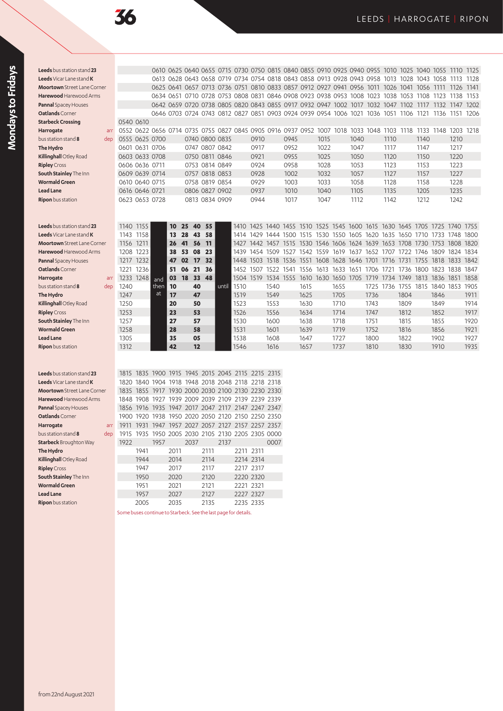| Leeds bus station stand 23             |                |                |      |       |                                                   |                |       |           |           |      |      |      |      |      |      |      |      |      | 0610 0625 0640 0655 0715 0730 0750 0815 0840 0855 0910 0925 0940 0955 1010 1025 1040 1055 1110 1125           |      |      |      |
|----------------------------------------|----------------|----------------|------|-------|---------------------------------------------------|----------------|-------|-----------|-----------|------|------|------|------|------|------|------|------|------|---------------------------------------------------------------------------------------------------------------|------|------|------|
| <b>Leeds</b> Vicar Lane stand <b>K</b> |                |                |      |       |                                                   |                |       |           |           |      |      |      |      |      |      |      |      |      | 0613 0628 0643 0658 0719 0734 0754 0818 0843 0858 0913 0928 0943 0958 1013 1028 1043 1058 1113 1128           |      |      |      |
| <b>Moortown</b> Street Lane Corner     |                |                |      |       |                                                   |                |       |           |           |      |      |      |      |      |      |      |      |      | 0625 0641 0657 0713 0736 0751 0810 0833 0857 0912 0927 0941 0956 1011 1026 1041 1056 1111 1126 1141           |      |      |      |
| Harewood Harewood Arms                 |                |                |      |       |                                                   |                |       |           |           |      |      |      |      |      |      |      |      |      | 0634 0651 0710 0728 0753 0808 0831 0846 0908 0923 0938 0953 1008 1023 1038 1053 1108 1123 1138 1153           |      |      |      |
| <b>Pannal Spacey Houses</b>            |                |                |      |       |                                                   |                |       |           |           |      |      |      |      |      |      |      |      |      | 0642 0659 0720 0738 0805 0820 0843 0855 0917 0932 0947 1002 1017 1032 1047 1102 1117 1132 1147 1202           |      |      |      |
| Oatlands Corner                        |                |                |      |       |                                                   |                |       |           |           |      |      |      |      |      |      |      |      |      | 0646 0703 0724 0743 0812 0827 0851 0903 0924 0939 0954 1006 1021 1036 1051 1106 1121 1136 1151 1206           |      |      |      |
| <b>Starbeck Crossing</b>               | 0540 0610      |                |      |       |                                                   |                |       |           |           |      |      |      |      |      |      |      |      |      |                                                                                                               |      |      |      |
| Harrogate<br>arr                       |                |                |      |       |                                                   |                |       |           |           |      |      |      |      |      |      |      |      |      | 0552 0622 0656 0714 0735 0755 0827 0845 0905 0916 0937 0952 1007 1018 1033 1048 1103 1118 1133 1148 1203 1218 |      |      |      |
| bus station stand 8<br>dep             | 0555 0625 0700 |                |      |       |                                                   | 0740 0800 0835 |       |           | 0910      |      | 0945 |      | 1015 |      | 1040 |      | 1110 |      | 1140                                                                                                          |      | 1210 |      |
| The Hydro                              |                | 0601 0631 0706 |      |       |                                                   | 0747 0807 0842 |       |           | 0917      |      | 0952 |      | 1022 |      | 1047 |      | 1117 |      | 1147                                                                                                          |      | 1217 |      |
| Killinghall Otley Road                 |                | 0603 0633 0708 |      |       |                                                   | 0750 0811 0846 |       |           | 0921      |      | 0955 |      | 1025 |      | 1050 |      | 1120 |      | 1150                                                                                                          |      | 1220 |      |
| <b>Ripley</b> Cross                    |                | 0606 0636 0711 |      |       |                                                   | 0753 0814 0849 |       |           | 0924      |      | 0958 |      | 1028 |      | 1053 |      | 1123 |      | 1153                                                                                                          |      | 1223 |      |
| South Stainley The Inn                 | 0609 0639 0714 |                |      |       |                                                   | 0757 0818 0853 |       |           | 0928      |      | 1002 |      | 1032 |      | 1057 |      | 1127 |      | 1157                                                                                                          |      | 1227 |      |
| <b>Wormald Green</b>                   |                | 0610 0640 0715 |      |       |                                                   | 0758 0819 0854 |       |           | 0929      |      | 1003 |      | 1033 |      | 1058 |      | 1128 |      | 1158                                                                                                          |      | 1228 |      |
| <b>Lead Lane</b>                       |                | 0616 0646 0721 |      |       |                                                   | 0806 0827 0902 |       |           | 0937      |      | 1010 |      | 1040 |      | 1105 |      | 1135 |      | 1205                                                                                                          |      | 1235 |      |
| <b>Ripon</b> bus station               |                | 0623 0653 0728 |      |       |                                                   | 0813 0834 0909 |       |           | 0944      |      | 1017 |      | 1047 |      | 1112 |      | 1142 |      | 1212                                                                                                          |      | 1242 |      |
|                                        |                |                |      |       |                                                   |                |       |           |           |      |      |      |      |      |      |      |      |      |                                                                                                               |      |      |      |
|                                        |                |                |      |       |                                                   |                |       |           |           |      |      |      |      |      |      |      |      |      |                                                                                                               |      |      |      |
| Leeds bus station stand 23             | 1140 1155      |                |      | 10    | 40<br>25                                          | 55             |       |           |           |      |      |      |      |      |      |      |      |      | 1410 1425 1440 1455 1510 1525 1545 1600 1615 1630 1645 1705 1725 1740 1755                                    |      |      |      |
| Leeds Vicar Lane stand K               | 1143 1158      |                |      | 13    | 28<br>43                                          | 58             |       |           |           |      |      |      |      |      |      |      |      |      | 1414 1429 1444 1500 1515 1530 1550 1605 1620 1635 1650 1710 1733 1748 1800                                    |      |      |      |
| <b>Moortown</b> Street Lane Corner     | 1156 1211      |                |      | 26    | 41<br>56                                          | -11            |       |           |           |      |      |      |      |      |      |      |      |      | 1427 1442 1457 1515 1530 1546 1606 1624 1639 1653 1708 1730 1753 1808 1820                                    |      |      |      |
| Harewood Harewood Arms                 | 1208 1223      |                |      | 38    | 08<br>53                                          | 23             |       | 1439      |           |      |      |      |      |      |      |      |      |      | 1454 1509 1527 1542 1559 1619 1637 1652 1707 1722 1746 1809 1824 1834                                         |      |      |      |
| <b>Pannal Spacey Houses</b>            | 1217 1232      |                |      | 47 02 | 17                                                | 32             |       |           |           |      |      |      |      |      |      |      |      |      | 1448 1503 1518 1536 1551 1608 1628 1646 1701 1716 1731 1755 1818 1833 1842                                    |      |      |      |
| Oatlands Corner                        |                | 1221 1236      |      | 51 06 | 21                                                | 36             |       | 1452 1507 |           |      |      |      |      |      |      |      |      |      | 1522 1541 1556 1613 1633 1651 1706 1721 1736 1800 1823 1838                                                   |      |      | 1847 |
| Harrogate<br>arr                       | 1233 1248      |                | and  | 03    | <b>18</b><br>33                                   | 48             |       |           |           |      |      |      |      |      |      |      |      |      | 1504 1519 1534 1555 1610 1630 1650 1705 1719 1734 1749 1813 1836 1851 1858                                    |      |      |      |
| bus station stand 8<br>dep             | 1240           |                | then | 10    | 40                                                |                | until | 1510      |           | 1540 |      | 1615 |      | 1655 |      |      |      |      | 1725 1736 1755 1815 1840 1853 1905                                                                            |      |      |      |
| The Hydro                              | 1247           |                | at   | 17    | 47                                                |                |       | 1519      |           | 1549 |      | 1625 |      | 1705 |      | 1736 |      | 1804 |                                                                                                               | 1846 |      | 1911 |
| Killinghall Otley Road                 | 1250           |                |      | 20    | 50                                                |                |       | 1523      |           | 1553 |      | 1630 |      | 1710 |      | 1743 |      | 1809 |                                                                                                               | 1849 |      | 1914 |
| <b>Ripley</b> Cross                    | 1253           |                |      | 23    | 53                                                |                |       | 1526      |           | 1556 |      | 1634 |      | 1714 |      | 1747 |      | 1812 |                                                                                                               | 1852 |      | 1917 |
| South Stainley The Inn                 | 1257           |                |      | 27    | 57                                                |                |       | 1530      |           | 1600 |      | 1638 |      | 1718 |      | 1751 |      | 1815 |                                                                                                               | 1855 |      | 1920 |
| <b>Wormald Green</b>                   | 1258           |                |      | 28    | 58                                                |                |       | 1531      |           | 1601 |      | 1639 |      | 1719 |      | 1752 |      | 1816 |                                                                                                               | 1856 |      | 1921 |
| <b>Lead Lane</b>                       | 1305           |                |      | 35    | 05                                                |                |       | 1538      |           | 1608 |      | 1647 |      | 1727 |      | 1800 |      | 1822 |                                                                                                               | 1902 |      | 1927 |
| Ripon bus station                      | 1312           |                |      | 42    | 12                                                |                |       | 1546      |           | 1616 |      | 1657 |      | 1737 |      | 1810 |      | 1830 |                                                                                                               | 1910 |      | 1935 |
|                                        |                |                |      |       |                                                   |                |       |           |           |      |      |      |      |      |      |      |      |      |                                                                                                               |      |      |      |
|                                        |                |                |      |       |                                                   |                |       |           |           |      |      |      |      |      |      |      |      |      |                                                                                                               |      |      |      |
| Leeds bus station stand 23             |                |                |      |       | 1815 1835 1900 1915 1945 2015 2045 2115 2215 2315 |                |       |           |           |      |      |      |      |      |      |      |      |      |                                                                                                               |      |      |      |
| Leeds Vicar Lane stand K               |                |                |      |       | 1820 1840 1904 1918 1948 2018 2048 2118 2218 2318 |                |       |           |           |      |      |      |      |      |      |      |      |      |                                                                                                               |      |      |      |
| <b>Moortown</b> Street Lane Corner     |                |                |      |       | 1835 1855 1917 1930 2000 2030 2100 2130 2230 2330 |                |       |           |           |      |      |      |      |      |      |      |      |      |                                                                                                               |      |      |      |
| Harewood Harewood Arms                 |                |                |      |       | 1848 1908 1927 1939 2009 2039 2109 2139 2239 2339 |                |       |           |           |      |      |      |      |      |      |      |      |      |                                                                                                               |      |      |      |
| <b>Pannal Spacey Houses</b>            |                |                |      |       | 1856 1916 1935 1947 2017 2047 2117 2147 2247 2347 |                |       |           |           |      |      |      |      |      |      |      |      |      |                                                                                                               |      |      |      |
| Oatlands Corner                        |                |                |      |       | 1900 1920 1938 1950 2020 2050 2120 2150 2250 2350 |                |       |           |           |      |      |      |      |      |      |      |      |      |                                                                                                               |      |      |      |
| Harrogate<br>arr                       | 1911           |                |      |       | 1931 1947 1957 2027 2057 2127 2157 2257 2357      |                |       |           |           |      |      |      |      |      |      |      |      |      |                                                                                                               |      |      |      |
| bus station stand 8<br>dep             |                |                |      |       | 1915 1935 1950 2005 2030 2105 2130 2205 2305 0000 |                |       |           |           |      |      |      |      |      |      |      |      |      |                                                                                                               |      |      |      |
| <b>Starbeck</b> Broughton Way          | 1922           |                | 1957 |       | 2037                                              |                | 2137  |           |           | 0007 |      |      |      |      |      |      |      |      |                                                                                                               |      |      |      |
| The Hydro                              |                | 1941           |      | 2011  |                                                   | 2111           |       |           | 2211 2311 |      |      |      |      |      |      |      |      |      |                                                                                                               |      |      |      |
| Killinghall Otley Road                 |                | 1944           |      | 2014  |                                                   | 2114           |       |           | 2214 2314 |      |      |      |      |      |      |      |      |      |                                                                                                               |      |      |      |
| <b>Ripley Cross</b>                    |                | 1947           |      | 2017  |                                                   | 2117           |       |           | 2217 2317 |      |      |      |      |      |      |      |      |      |                                                                                                               |      |      |      |
| South Stainley The Inn                 |                | 1950           |      | 2020  |                                                   | 2120           |       |           | 2220 2320 |      |      |      |      |      |      |      |      |      |                                                                                                               |      |      |      |

**South Stainley** The Inn **1950** 2020 2120 **Wormald Green** 1951 2021 2121 2221 2321 **Lead Lane 1957** 2027 2127 2227 2327<br> **Ripon** busstation 2005 2035 2135 2235 2335 **Ripon** bus station

Some buses continue to Starbeck. See the last page for details.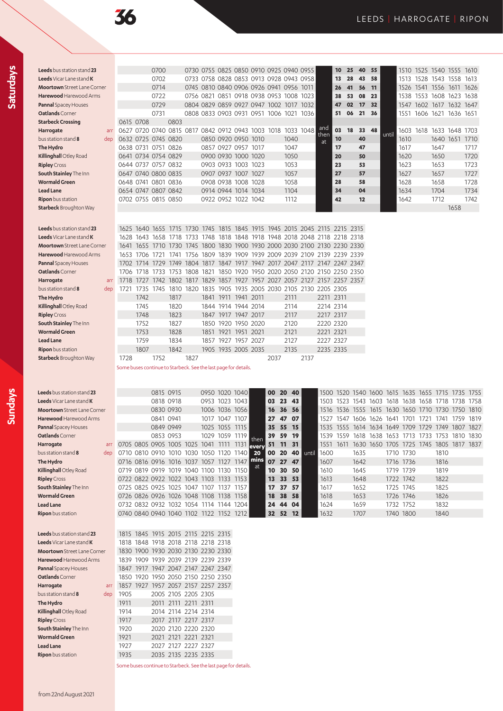**Sundays**

| Leeds bus station stand 23                                |     |                                                                                    |      | 0700                |                                            |      |                | 0730 0755 0825 0850 0910 0925 0940 0955 |              |                 |            |       |                                                                  | 10<br>25       | 40                       | 55        |       |           |           |           | 1510 1525 1540 1555 1610                          |                               |
|-----------------------------------------------------------|-----|------------------------------------------------------------------------------------|------|---------------------|--------------------------------------------|------|----------------|-----------------------------------------|--------------|-----------------|------------|-------|------------------------------------------------------------------|----------------|--------------------------|-----------|-------|-----------|-----------|-----------|---------------------------------------------------|-------------------------------|
| <b>Leeds</b> Vicar Lane stand <b>K</b>                    |     |                                                                                    |      | 0702                |                                            |      |                | 0733 0758 0828 0853 0913 0928 0943 0958 |              |                 |            |       |                                                                  | 13<br>28       | 43                       | 58        |       | 1513      | 1528      | 1543 1558 |                                                   | 1613                          |
|                                                           |     |                                                                                    |      |                     |                                            |      |                |                                         |              |                 |            |       |                                                                  |                |                          |           |       |           |           |           |                                                   |                               |
| <b>Moortown</b> Street Lane Corner                        |     |                                                                                    |      | 0714                |                                            |      |                | 0745 0810 0840 0906 0926 0941 0956 1011 |              |                 |            |       |                                                                  | 41<br>26       | 56                       | 11        |       | 1526      |           |           | 1541 1556 1611 1626                               |                               |
| Harewood Harewood Arms                                    |     |                                                                                    |      | 0722                |                                            |      |                | 0756 0821 0851 0918 0938 0953 1008 1023 |              |                 |            |       |                                                                  | 38<br>53       | 08                       | 23        |       | 1538      |           |           | 1553 1608 1623 1638                               |                               |
| <b>Pannal Spacey Houses</b>                               |     |                                                                                    |      | 0729                |                                            |      |                | 0804 0829 0859 0927 0947 1002 1017 1032 |              |                 |            |       |                                                                  | 02<br>47       | 17                       | 32        |       | 1547      |           |           | 1602 1617 1632 1647                               |                               |
| Oatlands Corner                                           |     |                                                                                    |      | 0731                |                                            |      |                | 0808 0833 0903 0931 0951 1006 1021 1036 |              |                 |            |       |                                                                  | 51<br>06       | 21                       | 36        |       | 1551      |           |           | 1606 1621 1636 1651                               |                               |
| <b>Starbeck Crossing</b>                                  |     | 0615 0708                                                                          |      |                     | 0803                                       |      |                |                                         |              |                 |            |       |                                                                  |                |                          |           |       |           |           |           |                                                   |                               |
| Harrogate                                                 | arr | 0627 0720 0740 0815 0817 0842 0912 0943 1003 1018 1033 1048                        |      |                     |                                            |      |                |                                         |              |                 |            |       | and                                                              | 03<br>18       | 33                       | 48        |       |           |           |           | 1603 1618 1633 1648 1703                          |                               |
| bus station stand 8                                       | dep |                                                                                    |      | 0632 0725 0745 0820 |                                            |      |                | 0850 0920 0950 1010                     |              |                 | 1040       |       | then<br>at                                                       | 10             | 40                       |           | until | 1610      |           |           | 1640 1651 1710                                    |                               |
| The Hydro                                                 |     |                                                                                    |      | 0638 0731 0751 0826 |                                            |      |                | 0857 0927 0957 1017                     |              |                 | 1047       |       |                                                                  | 17             | 47                       |           |       | 1617      |           | 1647      |                                                   | 1717                          |
| Killinghall Otley Road                                    |     |                                                                                    |      | 0641 0734 0754 0829 |                                            |      |                | 0900 0930 1000 1020                     |              |                 | 1050       |       |                                                                  | 20             | 50                       |           |       | 1620      |           | 1650      |                                                   | 1720                          |
| <b>Ripley</b> Cross                                       |     | 0644 0737 0757 0832                                                                |      |                     |                                            |      |                | 0903 0933 1003 1023                     |              |                 | 1053       |       |                                                                  | 23             | 53                       |           |       | 1623      |           | 1653      |                                                   | 1723                          |
| South Stainley The Inn                                    |     |                                                                                    |      |                     |                                            |      |                |                                         |              |                 |            |       |                                                                  | 27             | 57                       |           |       |           |           |           |                                                   |                               |
|                                                           |     | 0647 0740 0800 0835                                                                |      |                     |                                            |      |                | 0907 0937 1007 1027                     |              |                 | 1057       |       |                                                                  |                |                          |           |       | 1627      |           | 1657      |                                                   | 1727                          |
| <b>Wormald Green</b>                                      |     | 0648 0741 0801 0836                                                                |      |                     |                                            |      |                | 0908 0938 1008 1028                     |              |                 | 1058       |       |                                                                  | 28             | 58                       |           |       | 1628      |           | 1658      |                                                   | 1728                          |
| <b>Lead Lane</b>                                          |     | 0654 0747 0807 0842                                                                |      |                     |                                            |      |                | 0914 0944 1014 1034                     |              |                 | 1104       |       |                                                                  | 34             | 04                       |           |       | 1634      |           | 1704      |                                                   | 1734                          |
| <b>Ripon</b> bus station                                  |     |                                                                                    |      | 0702 0755 0815 0850 |                                            |      |                | 0922 0952 1022 1042                     |              |                 | 1112       |       |                                                                  | 42             | 12                       |           |       | 1642      |           | 1712      |                                                   | 1742                          |
| <b>Starbeck</b> Broughton Way                             |     |                                                                                    |      |                     |                                            |      |                |                                         |              |                 |            |       |                                                                  |                |                          |           |       |           |           |           | 1658                                              |                               |
|                                                           |     |                                                                                    |      |                     |                                            |      |                |                                         |              |                 |            |       |                                                                  |                |                          |           |       |           |           |           |                                                   |                               |
|                                                           |     |                                                                                    |      |                     |                                            |      |                |                                         |              |                 |            |       |                                                                  |                |                          |           |       |           |           |           |                                                   |                               |
| Leeds bus station stand 23                                |     |                                                                                    |      | 1625 1640 1655 1715 |                                            |      |                |                                         |              |                 |            |       | 1730 1745 1815 1845 1915 1945 2015 2045 2115 2215 2315           |                |                          |           |       |           |           |           |                                                   |                               |
| <b>Leeds</b> Vicar Lane stand <b>K</b>                    |     |                                                                                    |      | 1628 1643 1658 1718 |                                            |      |                |                                         |              |                 |            |       | 1733 1748 1818 1848 1918 1948 2018 2048 2118 2218 2318           |                |                          |           |       |           |           |           |                                                   |                               |
| <b>Moortown</b> Street Lane Corner                        |     | 1641                                                                               | 1655 | 1710                | 1730                                       |      |                |                                         |              |                 |            |       | 1745 1800 1830 1900 1930 2000 2030 2100 2130 2230 2330           |                |                          |           |       |           |           |           |                                                   |                               |
| Harewood Harewood Arms                                    |     | 1653 1706                                                                          |      | 1721                | 1741                                       |      |                |                                         |              |                 |            |       | 1756 1809 1839 1909 1939 2009 2039 2109 2139 2239 2339           |                |                          |           |       |           |           |           |                                                   |                               |
| <b>Pannal Spacey Houses</b>                               |     | 1702 1714 1729                                                                     |      |                     | 1749                                       |      |                |                                         |              |                 |            |       | 1804 1817 1847 1917 1947 2017 2047 2117 2147 2247 2347           |                |                          |           |       |           |           |           |                                                   |                               |
| Oatlands Corner                                           |     | 1706                                                                               | 1718 | 1733                | 1753                                       | 1808 | 1821           | 1850 1920                               |              |                 |            |       | 1950 2020 2050 2120 2150 2250 2350                               |                |                          |           |       |           |           |           |                                                   |                               |
| Harrogate                                                 | arr | 1718                                                                               | 1727 |                     | 1742 1802 1817 1829                        |      |                |                                         |              |                 |            |       | 1857 1927 1957 2027 2057 2127 2157 2257 2357                     |                |                          |           |       |           |           |           |                                                   |                               |
|                                                           |     |                                                                                    |      |                     |                                            |      |                |                                         |              |                 |            |       |                                                                  |                |                          |           |       |           |           |           |                                                   |                               |
| bus station stand 8                                       | dep | 1721                                                                               |      |                     |                                            |      |                |                                         |              |                 |            |       | 1735 1745 1810 1820 1835 1905 1935 2005 2030 2105 2130 2205 2305 |                |                          |           |       |           |           |           |                                                   |                               |
| The Hydro                                                 |     |                                                                                    | 1742 |                     | 1817                                       |      |                | 1841 1911 1941 2011                     |              |                 | 2111       |       | 2211 2311                                                        |                |                          |           |       |           |           |           |                                                   |                               |
| Killinghall Otley Road                                    |     |                                                                                    | 1745 |                     | 1820                                       |      |                | 1844 1914 1944 2014                     |              |                 | 2114       |       | 2214 2314                                                        |                |                          |           |       |           |           |           |                                                   |                               |
| <b>Ripley</b> Cross                                       |     |                                                                                    | 1748 |                     | 1823                                       |      |                | 1847 1917 1947 2017                     |              |                 | 2117       |       | 2217 2317                                                        |                |                          |           |       |           |           |           |                                                   |                               |
| South Stainley The Inn                                    |     |                                                                                    | 1752 |                     | 1827                                       |      |                | 1850 1920 1950 2020                     |              |                 | 2120       |       | 2220 2320                                                        |                |                          |           |       |           |           |           |                                                   |                               |
| <b>Wormald Green</b>                                      |     |                                                                                    | 1753 |                     | 1828                                       |      | 1851           | 1921 1951 2021                          |              |                 | 2121       |       | 2221 2321                                                        |                |                          |           |       |           |           |           |                                                   |                               |
| <b>Lead Lane</b>                                          |     |                                                                                    | 1759 |                     | 1834                                       |      |                | 1857 1927 1957 2027                     |              |                 | 2127       |       | 2227 2327                                                        |                |                          |           |       |           |           |           |                                                   |                               |
|                                                           |     |                                                                                    |      |                     |                                            |      |                |                                         |              |                 |            |       |                                                                  |                |                          |           |       |           |           |           |                                                   |                               |
|                                                           |     |                                                                                    |      |                     |                                            |      |                |                                         |              |                 |            |       |                                                                  |                |                          |           |       |           |           |           |                                                   |                               |
| <b>Ripon</b> bus station<br><b>Starbeck</b> Broughton Way |     | 1728                                                                               | 1807 | 1752                | 1842                                       | 1827 |                | 1905 1935 2005 2035                     |              | 2037            | 2135       | 2137  | 2235 2335                                                        |                |                          |           |       |           |           |           |                                                   |                               |
|                                                           |     | Some buses continue to Starbeck. See the last page for details.                    |      |                     |                                            |      |                |                                         |              |                 |            |       |                                                                  |                |                          |           |       |           |           |           |                                                   |                               |
| Leeds bus station stand 23                                |     |                                                                                    |      | 0815 0915           |                                            |      | 0950 1020 1040 |                                         |              | 00              | 40<br>20   |       | 1500                                                             | 1520           | 1540 1600 1615           |           |       |           | 1635 1655 | 1715      | 1735                                              | 1755                          |
| Leeds Vicar Lane stand K                                  |     |                                                                                    |      | 0818 0918           |                                            |      | 0953 1023 1043 |                                         |              | 03<br>23        | 43         |       |                                                                  |                | 1503 1523 1543 1603 1618 |           |       |           |           |           | 1638 1658 1718 1738 1758                          |                               |
| Moortown Street Lane Corner                               |     |                                                                                    |      | 0830 0930           |                                            |      | 1006 1036 1056 |                                         |              | 16              | 36<br>56   |       |                                                                  | 1516 1536 1555 |                          | 1615      |       |           |           |           |                                                   | 1630 1650 1710 1730 1750 1810 |
| Harewood Harewood Arms                                    |     |                                                                                    |      | 0841 0941           |                                            |      | 1017 1047 1107 |                                         |              | 27              | 47<br>07   |       | 1527                                                             | 1547           | 1606                     | 1626      | 1641  | 1701      | 1721      | 1741      | 1759                                              | 1819                          |
| <b>Pannal</b> Spacey Houses                               |     |                                                                                    |      | 0849 0949           |                                            |      | 1025 1055 1115 |                                         |              | 35              | 55<br>15   |       | 1535                                                             | 1555           | 1614                     | 1634 1649 |       |           | 1709 1729 | 1749      |                                                   | 1807 1827                     |
| <b>Oatlands</b> Corner                                    |     |                                                                                    |      | 0853 0953           |                                            |      | 1029 1059 1119 |                                         |              | 39              | 59<br>-19  |       |                                                                  |                |                          |           |       |           |           |           | 1539 1559 1618 1638 1653 1713 1733 1753 1810 1830 |                               |
| Harrogate                                                 |     |                                                                                    |      |                     |                                            |      |                |                                         | then         | 51              | - 31<br>11 |       |                                                                  |                |                          |           |       |           | 1725 1745 |           |                                                   |                               |
| bus station stand 8                                       | dep | 0705 0805 0905 1005 1025 1041 1111 1131<br>0710 0810 0910 1010 1030 1050 1120 1140 |      |                     |                                            |      |                |                                         | levery<br>20 | 00              | 20 40      | until | 1600                                                             | 1551 1611      | 1630 1650 1705<br>1635   |           |       |           |           |           |                                                   | 1805 1817 1837                |
|                                                           |     |                                                                                    |      |                     |                                            |      |                |                                         | mins         |                 |            |       |                                                                  |                |                          |           |       | 1710 1730 |           | 1810      |                                                   |                               |
| The Hydro                                                 |     | 0716 0816 0916 1016 1037 1057 1127 1147                                            |      |                     |                                            |      |                |                                         | аt           |                 | 07 27 47   |       | 1607                                                             |                | 1642                     |           |       | 1716 1736 |           | 1816      |                                                   |                               |
| Killinghall Otley Road                                    |     | 0719 0819 0919 1019 1040 1100 1130 1150                                            |      |                     |                                            |      |                |                                         |              |                 | 10 30 50   |       | 1610                                                             |                | 1645                     |           |       | 1719 1739 |           | 1819      |                                                   |                               |
| <b>Ripley</b> Cross                                       |     | 0722 0822 0922 1022 1043 1103 1133 1153                                            |      |                     |                                            |      |                |                                         |              | 13              | 33<br>- 53 |       | 1613                                                             |                | 1648                     |           |       | 1722 1742 |           | 1822      |                                                   |                               |
| South Stainley The Inn                                    |     | 0725 0825 0925 1025 1047 1107 1137 1157                                            |      |                     |                                            |      |                |                                         |              |                 | 17 37 57   |       | 1617                                                             |                | 1652                     |           |       | 1725 1745 |           | 1825      |                                                   |                               |
| <b>Wormald Green</b>                                      |     | 0726 0826 0926 1026 1048 1108 1138 1158                                            |      |                     |                                            |      |                |                                         |              | 18              | 38<br>- 58 |       | 1618                                                             |                | 1653                     |           |       | 1726 1746 |           | 1826      |                                                   |                               |
| Lead Lane                                                 |     | 0732 0832 0932 1032 1054 1114 1144 1204                                            |      |                     |                                            |      |                |                                         |              | 24              | 44 04      |       | 1624                                                             |                | 1659                     |           |       | 1732 1752 |           | 1832      |                                                   |                               |
| Ripon bus station                                         |     | 0740 0840 0940 1040 1102 1122 1152 1212                                            |      |                     |                                            |      |                |                                         |              | 32 <sub>2</sub> | 52 12      |       | 1632                                                             |                | 1707                     |           |       | 1740 1800 |           | 1840      |                                                   |                               |
|                                                           |     |                                                                                    |      |                     |                                            |      |                |                                         |              |                 |            |       |                                                                  |                |                          |           |       |           |           |           |                                                   |                               |
|                                                           |     |                                                                                    |      |                     |                                            |      |                |                                         |              |                 |            |       |                                                                  |                |                          |           |       |           |           |           |                                                   |                               |
| <b>Leeds</b> bus station stand 23                         |     | 1815 1845 1915 2015 2115 2215 2315                                                 |      |                     |                                            |      |                |                                         |              |                 |            |       |                                                                  |                |                          |           |       |           |           |           |                                                   |                               |
| Leeds Vicar Lane stand K                                  |     |                                                                                    |      |                     | 1818 1848 1918 2018 2118 2218 2318         |      |                |                                         |              |                 |            |       |                                                                  |                |                          |           |       |           |           |           |                                                   |                               |
| <b>Moortown</b> Street Lane Corner                        |     | 1830 1900 1930 2030 2130 2230 2330                                                 |      |                     |                                            |      |                |                                         |              |                 |            |       |                                                                  |                |                          |           |       |           |           |           |                                                   |                               |
| Harewood Harewood Arms                                    |     | 1839 1909 1939 2039 2139 2239 2339                                                 |      |                     |                                            |      |                |                                         |              |                 |            |       |                                                                  |                |                          |           |       |           |           |           |                                                   |                               |
| <b>Pannal Spacey Houses</b>                               |     | 1847 1917 1947 2047 2147 2247 2347                                                 |      |                     |                                            |      |                |                                         |              |                 |            |       |                                                                  |                |                          |           |       |           |           |           |                                                   |                               |
| Oatlands Corner                                           |     | 1850 1920 1950 2050 2150 2250 2350                                                 |      |                     |                                            |      |                |                                         |              |                 |            |       |                                                                  |                |                          |           |       |           |           |           |                                                   |                               |
| Harrogate                                                 | arr | 1857 1927 1957 2057 2157 2257 2357                                                 |      |                     |                                            |      |                |                                         |              |                 |            |       |                                                                  |                |                          |           |       |           |           |           |                                                   |                               |
| bus station stand 8                                       | dep | 1905                                                                               |      |                     | 2005 2105 2205 2305                        |      |                |                                         |              |                 |            |       |                                                                  |                |                          |           |       |           |           |           |                                                   |                               |
| The Hydro                                                 |     | 1911                                                                               |      |                     |                                            |      |                |                                         |              |                 |            |       |                                                                  |                |                          |           |       |           |           |           |                                                   |                               |
|                                                           |     |                                                                                    |      |                     | 2011 2111 2211 2311                        |      |                |                                         |              |                 |            |       |                                                                  |                |                          |           |       |           |           |           |                                                   |                               |
| Killinghall Otley Road                                    |     | 1914                                                                               |      |                     | 2014 2114 2214 2314                        |      |                |                                         |              |                 |            |       |                                                                  |                |                          |           |       |           |           |           |                                                   |                               |
| <b>Ripley</b> Cross                                       |     | 1917                                                                               |      |                     | 2017 2117 2217 2317                        |      |                |                                         |              |                 |            |       |                                                                  |                |                          |           |       |           |           |           |                                                   |                               |
| South Stainley The Inn                                    |     | 1920                                                                               |      |                     | 2020 2120 2220 2320                        |      |                |                                         |              |                 |            |       |                                                                  |                |                          |           |       |           |           |           |                                                   |                               |
| <b>Wormald Green</b>                                      |     | 1921                                                                               |      |                     | 2021 2121 2221 2321                        |      |                |                                         |              |                 |            |       |                                                                  |                |                          |           |       |           |           |           |                                                   |                               |
| Lead Lane<br>Ripon bus station                            |     | 1927<br>1935                                                                       |      |                     | 2027 2127 2227 2327<br>2035 2135 2235 2335 |      |                |                                         |              |                 |            |       |                                                                  |                |                          |           |       |           |           |           |                                                   |                               |

Some buses continue to Starbeck. See the last page for details.